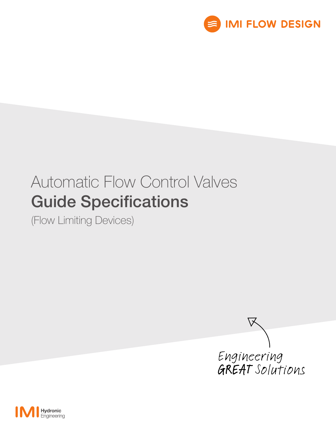

# Automatic Flow Control Valves Guide Specifications

(Flow Limiting Devices)



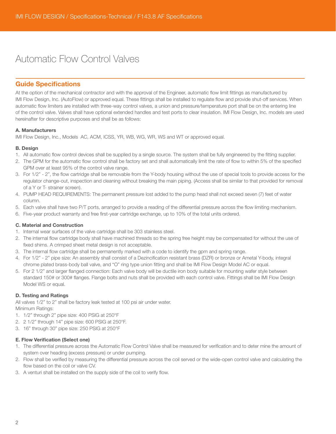# Automatic Flow Control Valves

### Guide Specifications

At the option of the mechanical contractor and with the approval of the Engineer, automatic flow limit fittings as manufactured by IMI Flow Design, Inc. (AutoFlow) or approved equal. These fittings shall be installed to regulate flow and provide shut-off services. When automatic flow limiters are installed with three-way control valves, a union and pressure/temperature port shall be on the entering line of the control valve. Valves shall have optional extended handles and test ports to clear insulation. IMI Flow Design, Inc. models are used hereinafter for descriptive purposes and shall be as follows:

#### A. Manufacturers

IMI Flow Design, Inc., Models AC, ACM, ICSS, YR, WB, WG, WR, WS and WT or approved equal.

#### B. Design

- 1. All automatic flow control devices shall be supplied by a single source. The system shall be fully engineered by the fitting supplier.
- 2. The GPM for the automatic flow control shall be factory set and shall automatically limit the rate of flow to within 5% of the specified GPM over at least 95% of the control valve range.
- 3. For 1/2" 2", the flow cartridge shall be removable from the Y-body housing without the use of special tools to provide access for the regulator change-out, inspection and cleaning without breaking the main piping. (Access shall be similar to that provided for removal of a Y or T- strainer screen).
- 4. PUMP HEAD REQUIREMENTS: The permanent pressure lost added to the pump head shall not exceed seven (7) feet of water column.
- 5. Each valve shall have two P/T ports, arranged to provide a reading of the differential pressure across the flow limiting mechanism.
- 6. Five-year product warranty and free first-year cartridge exchange, up to 10% of the total units ordered.

#### C. Material and Construction

- 1. Internal wear surfaces of the valve cartridge shall be 303 stainless steel.
- 2. The internal flow cartridge body shall have machined threads so the spring free height may be compensated for without the use of fixed shims. A crimped sheet metal design is not acceptable.
- 3. The internal flow cartridge shall be permanently marked with a code to identify the gpm and spring range.
- 4. For 1/2" 2" pipe size: An assembly shall consist of a Dezincification resistant brass (DZR) or bronze or Ametal Y-body, integral chrome plated brass-body ball valve, and "O" ring type union fitting and shall be IMI Flow Design Model AC or equal.
- 5. For 2 1/2" and larger flanged connection: Each valve body will be ductile iron body suitable for mounting wafer style between standard 150# or 300# flanges. Flange bolts and nuts shall be provided with each control valve. Fittings shall be IMI Flow Design Model WS or equal.

#### D. Testing and Ratings

All valves 1/2" to 2" shall be factory leak tested at 100 psi air under water. Minimum Ratings:

- 1. 1/2" through 2" pipe size: 400 PSIG at 250°F
- 2. 2 1/2" through 14" pipe size: 600 PSIG at 250°F.
- 3. 16" through 30" pipe size: 250 PSIG at 250°F

#### E. Flow Verification (Select one)

- 1. The differential pressure across the Automatic Flow Control Valve shall be measured for verification and to deter mine the amount of system over heading (excess pressure) or under pumping.
- 2. Flow shall be verified by measuring the differential pressure across the coil served or the wide-open control valve and calculating the flow based on the coil or valve CV.
- 3. A venturi shall be installed on the supply side of the coil to verify flow.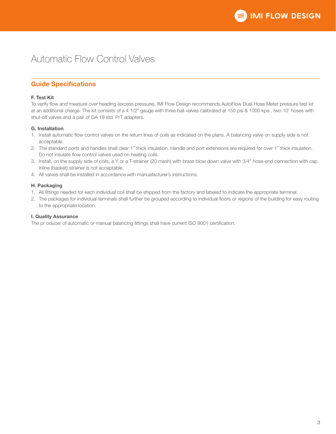## Automatic Flow Control Valves

## Guide Specifications

#### F. Test Kit

To verify flow and measure over heading (excess pressure), IMI Flow Design recommends AutoFlow Dual Hose Meter pressure test kit at an additional charge. The kit consists of a 4 1/2" gauge with three ball valves calibrated at 150 psi & 1000 kpa , two 10' hoses with shut-off valves and a pair of GA 18 std. P/T adapters.

#### G. Installation

- 1. Install automatic flow control valves on the return lines of coils as indicated on the plans. A balancing valve on supply side is not acceptable.
- 2. The standard ports and handles shall clear 1" thick insulation. Handle and port extensions are required for over 1" thick insulation. Do not insulate flow control valves used on heating coils.
- 3. Install, on the supply side of coils, a Y or a T-strainer (20 mesh) with brass blow down valve with 3/4" hose-end connection with cap. Inline (basket) strainer is not acceptable.
- 4. All valves shall be installed in accordance with manuafacturer's instructions.

#### H. Packaging

- 1. All fittings needed for each individual coil shall be shipped from the factory and labeled to indicate the appropriate terminal.
- 2. The packages for individual terminals shall further be grouped according to individual floors or regions of the building for easy routing to the appropriate location.

#### I. Quality Assurance

The pr oducer of automatic or manual balancing fittings shall have current ISO 9001 certification.